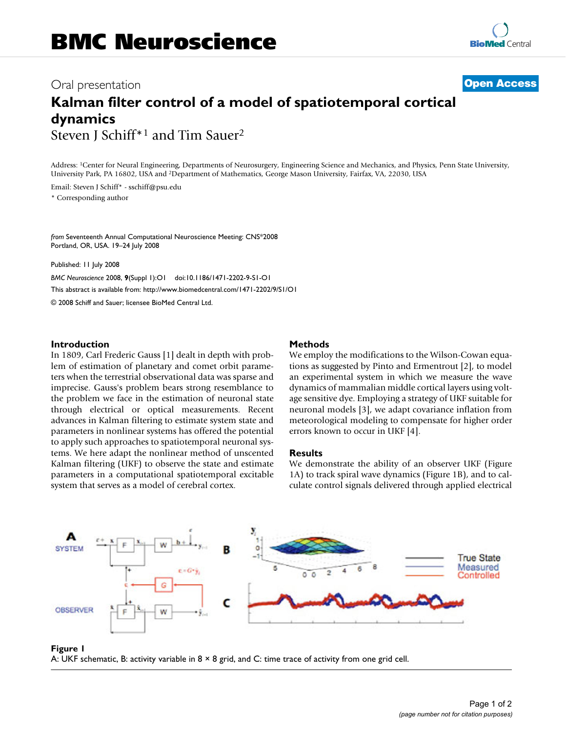# Oral presentation **[Open Access](http://www.biomedcentral.com/info/about/charter/)**

# **Kalman filter control of a model of spatiotemporal cortical dynamics** Steven J Schiff\*1 and Tim Sauer2

Address: 1Center for Neural Engineering, Departments of Neurosurgery, Engineering Science and Mechanics, and Physics, Penn State University, University Park, PA 16802, USA and 2Department of Mathematics, George Mason University, Fairfax, VA, 22030, USA

Email: Steven J Schiff\* - sschiff@psu.edu \* Corresponding author

*from* Seventeenth Annual Computational Neuroscience Meeting: CNS\*2008 Portland, OR, USA. 19–24 July 2008

Published: 11 July 2008 *BMC Neuroscience* 2008, **9**(Suppl 1):O1 doi:10.1186/1471-2202-9-S1-O1 [This abstract is available from: http://www.biomedcentral.com/1471-2202/9/S1/O1](http://www.biomedcentral.com/1471-2202/9/S1/O1) © 2008 Schiff and Sauer; licensee BioMed Central Ltd.

## **Introduction**

In 1809, Carl Frederic Gauss [1] dealt in depth with problem of estimation of planetary and comet orbit parameters when the terrestrial observational data was sparse and imprecise. Gauss's problem bears strong resemblance to the problem we face in the estimation of neuronal state through electrical or optical measurements. Recent advances in Kalman filtering to estimate system state and parameters in nonlinear systems has offered the potential to apply such approaches to spatiotemporal neuronal systems. We here adapt the nonlinear method of unscented Kalman filtering (UKF) to observe the state and estimate parameters in a computational spatiotemporal excitable system that serves as a model of cerebral cortex.

# **Methods**

We employ the modifications to the Wilson-Cowan equations as suggested by Pinto and Ermentrout [2], to model an experimental system in which we measure the wave dynamics of mammalian middle cortical layers using voltage sensitive dye. Employing a strategy of UKF suitable for neuronal models [3], we adapt covariance inflation from meteorological modeling to compensate for higher order errors known to occur in UKF [4].

# **Results**

We demonstrate the ability of an observer UKF (Figure 1A) to track spiral wave dynamics (Figure 1B), and to calculate control signals delivered through applied electrical



A: UKF schematic, B: acti **Figure 1** vity variable in 8 × 8 grid, and C: time trace of activity from one grid cell A: UKF schematic, B: activity variable in 8 × 8 grid, and C: time trace of activity from one grid cell.